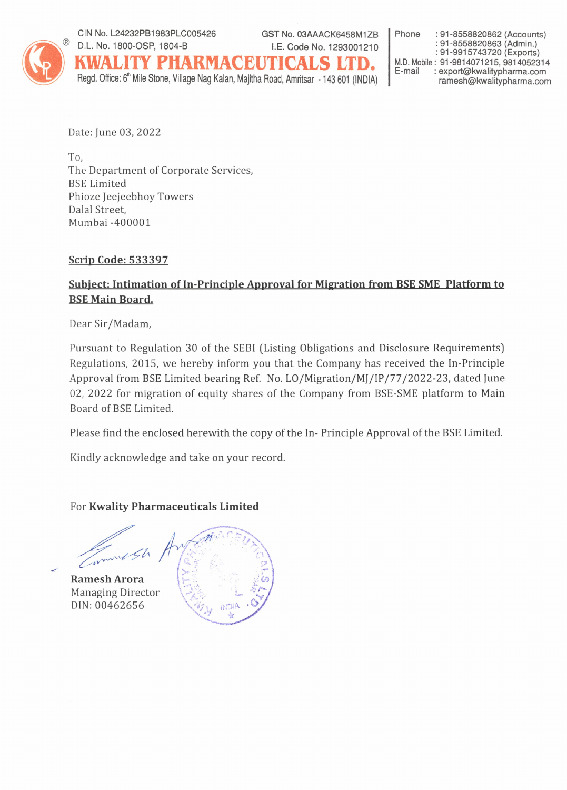

CIN No. L24232PB1983PLC005426 D.L. No. 1800-OSP, 1804-B I.E. Code No. 1293001210

GST No. 03AAACK6458M1ZB

KWALITY PHARMACBUTICALS LTD. Regd. Office: 6<sup>th</sup> Mile Stone, Village Nag Kalan, Majitha Road, Amritsar - 143 601 (INDIA) Phone : 91-8558820862 (Accounts) : 91-8558820863 (Admin.)<br>: 91-9915743720 (Exports) M.D. Mobile: 91-9814071215, 9814052314 E-mail : export@kwalitypharma.com ramesh@kwalitypharma.com

Date: June 03, 2022

To, The Department of Corporate Services, **BSE** Limited Phioze Jeejeebhoy Towers Dalal Street, Mumbai -400001

## **Scrip Code: 533397**

## Subject: Intimation of In-Principle Approval for Migration from BSE SME Platform to **BSE Main Board.**

Dear Sir/Madam,

Pursuant to Regulation 30 of the SEBI (Listing Obligations and Disclosure Requirements) Regulations, 2015, we hereby inform you that the Company has received the In-Principle Approval from BSE Limited bearing Ref. No. LO/Migration/MJ/IP/77/2022-23, dated June 02, 2022 for migration of equity shares of the Company from BSE-SME platform to Main Board of BSE Limited.

Please find the enclosed herewith the copy of the In- Principle Approval of the BSE Limited.

Kindly acknowledge and take on your record.

For Kwality Pharmaceuticals Limited



**Managing Director** DIN: 00462656